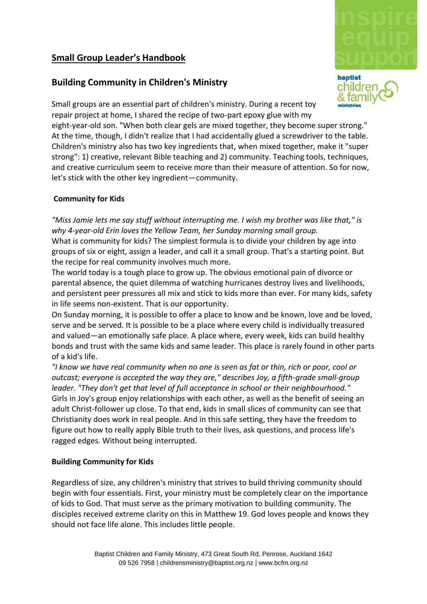# **Small Group Leader's Handbook**

## **Building Community in Children's Ministry**



Small groups are an essential part of children's ministry. During a recent toy repair project at home, I shared the recipe of two-part epoxy glue with my eight-year-old son. "When both clear gels are mixed together, they become super strong." At the time, though, I didn't realize that I had accidentally glued a screwdriver to the table. Children's ministry also has two key ingredients that, when mixed together, make it "super strong": 1) creative, relevant Bible teaching and 2) community. Teaching tools, techniques, and creative curriculum seem to receive more than their measure of attention. So for now, let's stick with the other key ingredient—community.

#### **Community for Kids**

*"Miss Jamie lets me say stuff without interrupting me. I wish my brother was like that," is why 4-year-old Erin loves the Yellow Team, her Sunday morning small group.*  What is community for kids? The simplest formula is to divide your children by age into groups of six or eight, assign a leader, and call it a small group. That's a starting point. But the recipe for real community involves much more.

The world today is a tough place to grow up. The obvious emotional pain of divorce or parental absence, the quiet dilemma of watching hurricanes destroy lives and livelihoods, and persistent peer pressures all mix and stick to kids more than ever. For many kids, safety in life seems non-existent. That is our opportunity.

On Sunday morning, it is possible to offer a place to know and be known, love and be loved, serve and be served. It is possible to be a place where every child is individually treasured and valued—an emotionally safe place. A place where, every week, kids can build healthy bonds and trust with the same kids and same leader. This place is rarely found in other parts of a kid's life.

*"I know we have real community when no one is seen as fat or thin, rich or poor, cool or outcast; everyone is accepted the way they are," describes Joy, a fifth-grade small-group leader. "They don't get that level of full acceptance in school or their neighbourhood."*  Girls in Joy's group enjoy relationships with each other, as well as the benefit of seeing an adult Christ-follower up close. To that end, kids in small slices of community can see that Christianity does work in real people. And in this safe setting, they have the freedom to figure out how to really apply Bible truth to their lives, ask questions, and process life's ragged edges. Without being interrupted.

#### **Building Community for Kids**

Regardless of size, any children's ministry that strives to build thriving community should begin with four essentials. First, your ministry must be completely clear on the importance of kids to God. That must serve as the primary motivation to building community. The disciples received extreme clarity on this in Matthew 19. God loves people and knows they should not face life alone. This includes little people.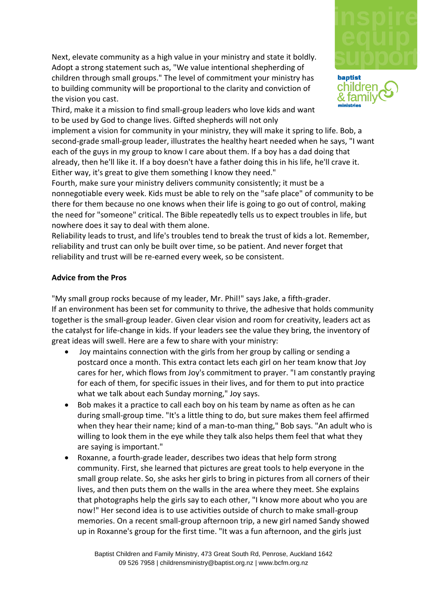

childrei

Next, elevate community as a high value in your ministry and state it boldly. Adopt a strong statement such as, "We value intentional shepherding of children through small groups." The level of commitment your ministry has to building community will be proportional to the clarity and conviction of the vision you cast.

Third, make it a mission to find small-group leaders who love kids and want to be used by God to change lives. Gifted shepherds will not only

implement a vision for community in your ministry, they will make it spring to life. Bob, a second-grade small-group leader, illustrates the healthy heart needed when he says, "I want each of the guys in my group to know I care about them. If a boy has a dad doing that already, then he'll like it. If a boy doesn't have a father doing this in his life, he'll crave it. Either way, it's great to give them something I know they need."

Fourth, make sure your ministry delivers community consistently; it must be a nonnegotiable every week. Kids must be able to rely on the "safe place" of community to be there for them because no one knows when their life is going to go out of control, making the need for "someone" critical. The Bible repeatedly tells us to expect troubles in life, but nowhere does it say to deal with them alone.

Reliability leads to trust, and life's troubles tend to break the trust of kids a lot. Remember, reliability and trust can only be built over time, so be patient. And never forget that reliability and trust will be re-earned every week, so be consistent.

#### **Advice from the Pros**

"My small group rocks because of my leader, Mr. Phil!" says Jake, a fifth-grader. If an environment has been set for community to thrive, the adhesive that holds community together is the small-group leader. Given clear vision and room for creativity, leaders act as the catalyst for life-change in kids. If your leaders see the value they bring, the inventory of great ideas will swell. Here are a few to share with your ministry:

- Joy maintains connection with the girls from her group by calling or sending a postcard once a month. This extra contact lets each girl on her team know that Joy cares for her, which flows from Joy's commitment to prayer. "I am constantly praying for each of them, for specific issues in their lives, and for them to put into practice what we talk about each Sunday morning," Joy says.
- Bob makes it a practice to call each boy on his team by name as often as he can during small-group time. "It's a little thing to do, but sure makes them feel affirmed when they hear their name; kind of a man-to-man thing," Bob says. "An adult who is willing to look them in the eye while they talk also helps them feel that what they are saying is important."
- Roxanne, a fourth-grade leader, describes two ideas that help form strong community. First, she learned that pictures are great tools to help everyone in the small group relate. So, she asks her girls to bring in pictures from all corners of their lives, and then puts them on the walls in the area where they meet. She explains that photographs help the girls say to each other, "I know more about who you are now!" Her second idea is to use activities outside of church to make small-group memories. On a recent small-group afternoon trip, a new girl named Sandy showed up in Roxanne's group for the first time. "It was a fun afternoon, and the girls just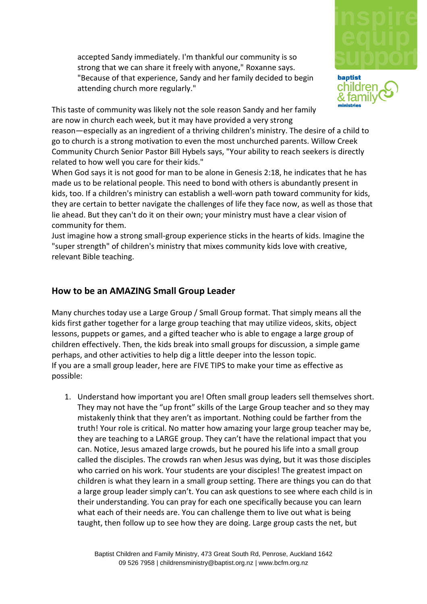accepted Sandy immediately. I'm thankful our community is so strong that we can share it freely with anyone," Roxanne says. "Because of that experience, Sandy and her family decided to begin attending church more regularly."





This taste of community was likely not the sole reason Sandy and her family are now in church each week, but it may have provided a very strong

reason—especially as an ingredient of a thriving children's ministry. The desire of a child to go to church is a strong motivation to even the most unchurched parents. Willow Creek Community Church Senior Pastor Bill Hybels says, "Your ability to reach seekers is directly related to how well you care for their kids."

When God says it is not good for man to be alone in Genesis 2:18, he indicates that he has made us to be relational people. This need to bond with others is abundantly present in kids, too. If a children's ministry can establish a well-worn path toward community for kids, they are certain to better navigate the challenges of life they face now, as well as those that lie ahead. But they can't do it on their own; your ministry must have a clear vision of community for them.

Just imagine how a strong small-group experience sticks in the hearts of kids. Imagine the "super strength" of children's ministry that mixes community kids love with creative, relevant Bible teaching.

### **How to be an AMAZING Small Group Leader**

Many churches today use a Large Group / Small Group format. That simply means all the kids first gather together for a large group teaching that may utilize videos, skits, object lessons, puppets or games, and a gifted teacher who is able to engage a large group of children effectively. Then, the kids break into small groups for discussion, a simple game perhaps, and other activities to help dig a little deeper into the lesson topic. If you are a small group leader, here are FIVE TIPS to make your time as effective as possible:

1. Understand how important you are! Often small group leaders sell themselves short. They may not have the "up front" skills of the Large Group teacher and so they may mistakenly think that they aren't as important. Nothing could be farther from the truth! Your role is critical. No matter how amazing your large group teacher may be, they are teaching to a LARGE group. They can't have the relational impact that you can. Notice, Jesus amazed large crowds, but he poured his life into a small group called the disciples. The crowds ran when Jesus was dying, but it was those disciples who carried on his work. Your students are your disciples! The greatest impact on children is what they learn in a small group setting. There are things you can do that a large group leader simply can't. You can ask questions to see where each child is in their understanding. You can pray for each one specifically because you can learn what each of their needs are. You can challenge them to live out what is being taught, then follow up to see how they are doing. Large group casts the net, but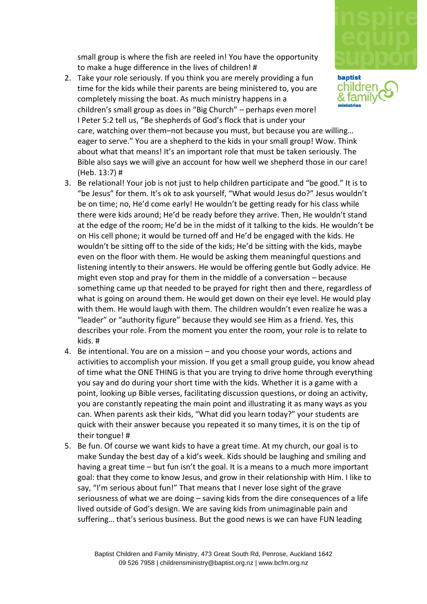

small group is where the fish are reeled in! You have the opportunity to make a huge difference in the lives of children! #

- 2. Take your role seriously. If you think you are merely providing a fun baptist childrer time for the kids while their parents are being ministered to, you are & tam completely missing the boat. As much ministry happens in a children's small group as does in "Big Church" – perhaps even more! I Peter 5:2 tell us, "Be shepherds of God's flock that is under your care, watching over them–not because you must, but because you are willing… eager to serve." You are a shepherd to the kids in your small group! Wow. Think about what that means! It's an important role that must be taken seriously. The Bible also says we will give an account for how well we shepherd those in our care! (Heb. 13:7) #
- 3. Be relational! Your job is not just to help children participate and "be good." It is to "be Jesus" for them. It's ok to ask yourself, "What would Jesus do?" Jesus wouldn't be on time; no, He'd come early! He wouldn't be getting ready for his class while there were kids around; He'd be ready before they arrive. Then, He wouldn't stand at the edge of the room; He'd be in the midst of it talking to the kids. He wouldn't be on His cell phone; it would be turned off and He'd be engaged with the kids. He wouldn't be sitting off to the side of the kids; He'd be sitting with the kids, maybe even on the floor with them. He would be asking them meaningful questions and listening intently to their answers. He would be offering gentle but Godly advice. He might even stop and pray for them in the middle of a conversation – because something came up that needed to be prayed for right then and there, regardless of what is going on around them. He would get down on their eye level. He would play with them. He would laugh with them. The children wouldn't even realize he was a "leader" or "authority figure" because they would see Him as a friend. Yes, this describes your role. From the moment you enter the room, your role is to relate to kids. #
- 4. Be intentional. You are on a mission and you choose your words, actions and activities to accomplish your mission. If you get a small group guide, you know ahead of time what the ONE THING is that you are trying to drive home through everything you say and do during your short time with the kids. Whether it is a game with a point, looking up Bible verses, facilitating discussion questions, or doing an activity, you are constantly repeating the main point and illustrating it as many ways as you can. When parents ask their kids, "What did you learn today?" your students are quick with their answer because you repeated it so many times, it is on the tip of their tongue! #
- 5. Be fun. Of course we want kids to have a great time. At my church, our goal is to make Sunday the best day of a kid's week. Kids should be laughing and smiling and having a great time – but fun isn't the goal. It is a means to a much more important goal: that they come to know Jesus, and grow in their relationship with Him. I like to say, "I'm serious about fun!" That means that I never lose sight of the grave seriousness of what we are doing – saving kids from the dire consequences of a life lived outside of God's design. We are saving kids from unimaginable pain and suffering… that's serious business. But the good news is we can have FUN leading